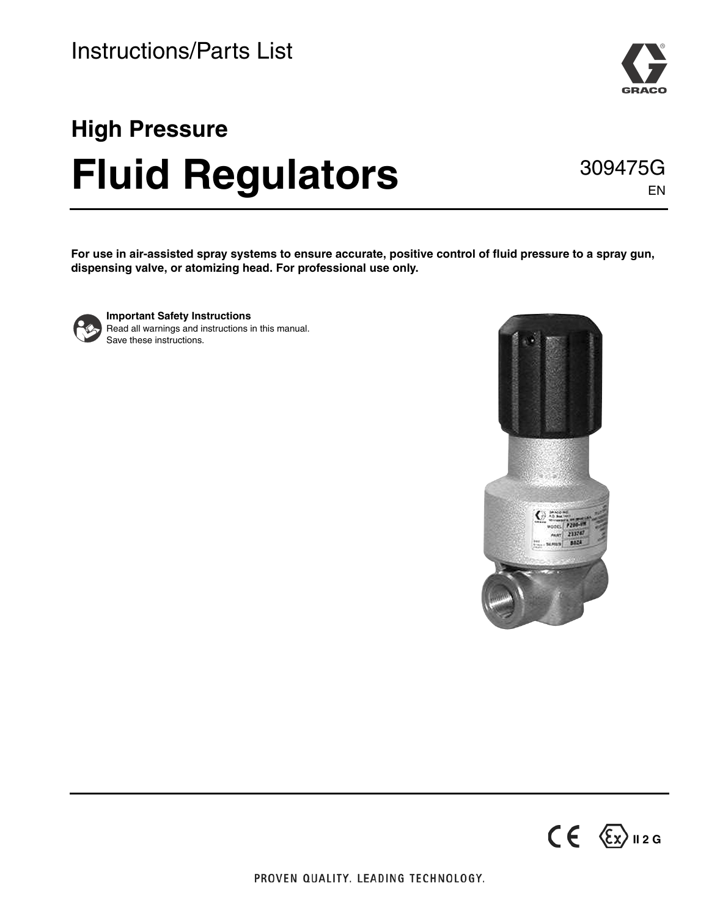# **High Pressure Fluid Regulators**

**For use in air-assisted spray systems to ensure accurate, positive control of fluid pressure to a spray gun, dispensing valve, or atomizing head. For professional use only.**



**Important Safety Instructions** Read all warnings and instructions in this manual. Save these instructions.





EN

309475G

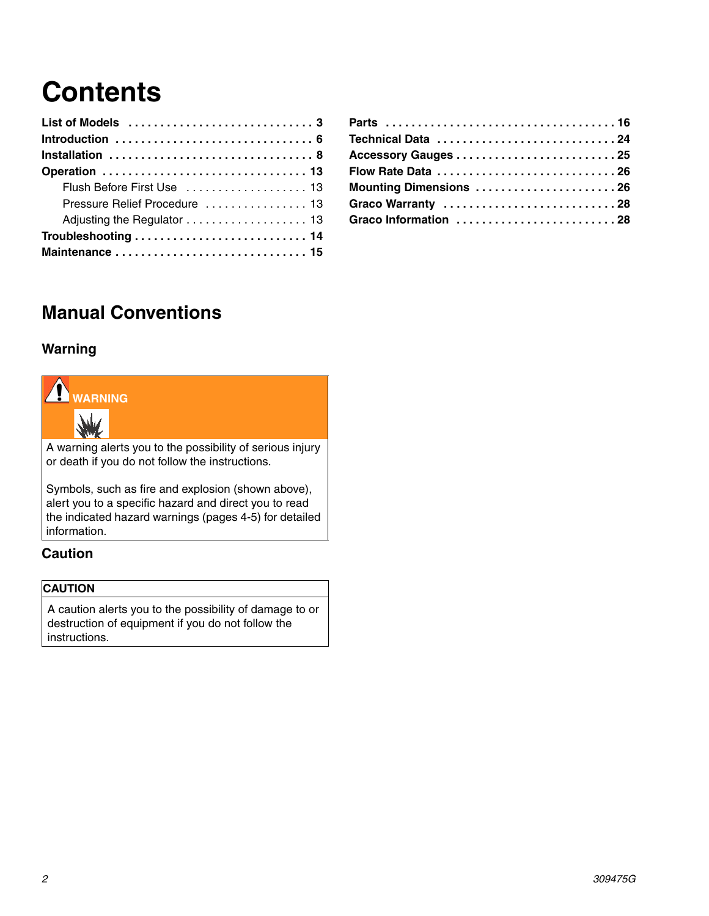## **Contents**

| Flush Before First Use  13    |
|-------------------------------|
| Pressure Relief Procedure  13 |
|                               |
|                               |
|                               |

| Technical Data 24      |  |
|------------------------|--|
|                        |  |
| Flow Rate Data 26      |  |
| Mounting Dimensions 26 |  |
| Graco Warranty 28      |  |
| Graco Information 28   |  |

### **Manual Conventions**

#### **Warning**



A warning alerts you to the possibility of serious injury or death if you do not follow the instructions.

Symbols, such as fire and explosion (shown above), alert you to a specific hazard and direct you to read the indicated hazard warnings (pages [4](#page-3-0)-5) for detailed information.

#### **Caution**

#### **CAUTION**

A caution alerts you to the possibility of damage to or destruction of equipment if you do not follow the instructions.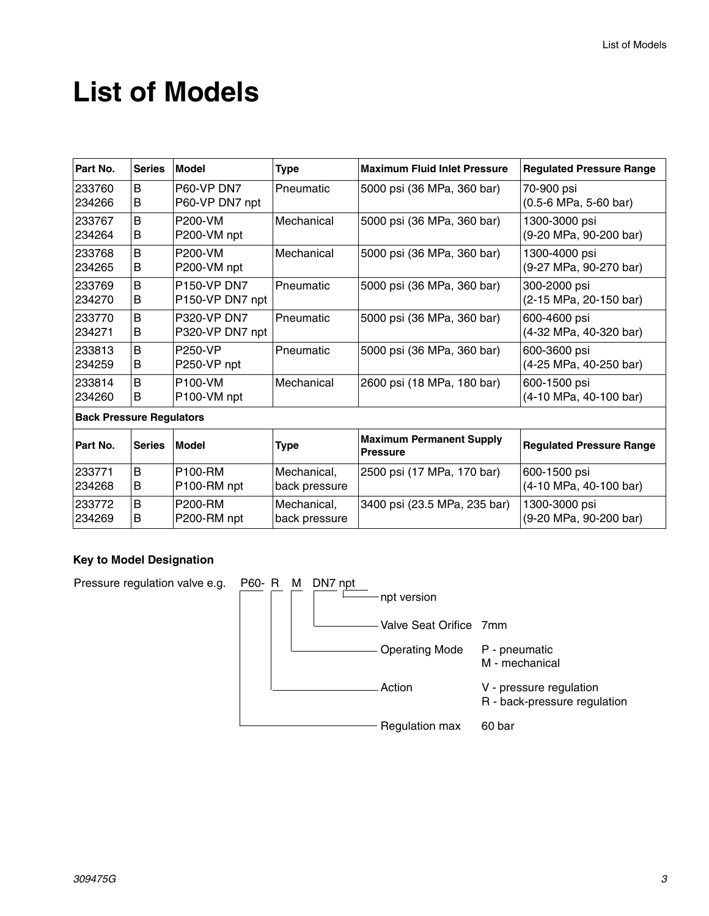### **List of Models**

| Part No.         | <b>Series</b>                   | <b>Model</b>                          | Type                         | <b>Maximum Fluid Inlet Pressure</b>                | <b>Regulated Pressure Range</b>         |
|------------------|---------------------------------|---------------------------------------|------------------------------|----------------------------------------------------|-----------------------------------------|
| 233760<br>234266 | B<br>В                          | <b>P60-VP DN7</b><br>P60-VP DN7 npt   | Pneumatic                    | 5000 psi (36 MPa, 360 bar)                         | 70-900 psi<br>(0.5-6 MPa, 5-60 bar)     |
| 233767<br>234264 | B<br>B                          | P200-VM<br>P200-VM npt                | Mechanical                   | 5000 psi (36 MPa, 360 bar)                         | 1300-3000 psi<br>(9-20 MPa, 90-200 bar) |
| 233768<br>234265 | B<br>В                          | <b>P200-VM</b><br>P200-VM npt         | Mechanical                   | 5000 psi (36 MPa, 360 bar)                         | 1300-4000 psi<br>(9-27 MPa, 90-270 bar) |
| 233769<br>234270 | B<br>В                          | <b>P150-VP DN7</b><br>P150-VP DN7 npt | Pneumatic                    | 5000 psi (36 MPa, 360 bar)                         | 300-2000 psi<br>(2-15 MPa, 20-150 bar)  |
| 233770<br>234271 | B<br>В                          | P320-VP DN7<br>P320-VP DN7 npt        | Pneumatic                    | 5000 psi (36 MPa, 360 bar)                         | 600-4600 psi<br>(4-32 MPa, 40-320 bar)  |
| 233813<br>234259 | B<br>В                          | <b>P250-VP</b><br>P250-VP npt         | Pneumatic                    | 5000 psi (36 MPa, 360 bar)                         | 600-3600 psi<br>(4-25 MPa, 40-250 bar)  |
| 233814<br>234260 | B<br>B                          | P100-VM<br>P100-VM npt                | Mechanical                   | 2600 psi (18 MPa, 180 bar)                         | 600-1500 psi<br>(4-10 MPa, 40-100 bar)  |
|                  | <b>Back Pressure Regulators</b> |                                       |                              |                                                    |                                         |
| Part No.         | <b>Series</b>                   | <b>Model</b>                          | Type                         | <b>Maximum Permanent Supply</b><br><b>Pressure</b> | <b>Regulated Pressure Range</b>         |
| 233771<br>234268 | B<br>B                          | <b>P100-RM</b><br>P100-RM npt         | Mechanical,<br>back pressure | 2500 psi (17 MPa, 170 bar)                         | 600-1500 psi<br>(4-10 MPa, 40-100 bar)  |
| 233772<br>234269 | B<br>В                          | P200-RM<br>P200-RM npt                | Mechanical,<br>back pressure | 3400 psi (23.5 MPa, 235 bar)                       | 1300-3000 psi<br>(9-20 MPa, 90-200 bar) |

#### **Key to Model Designation**

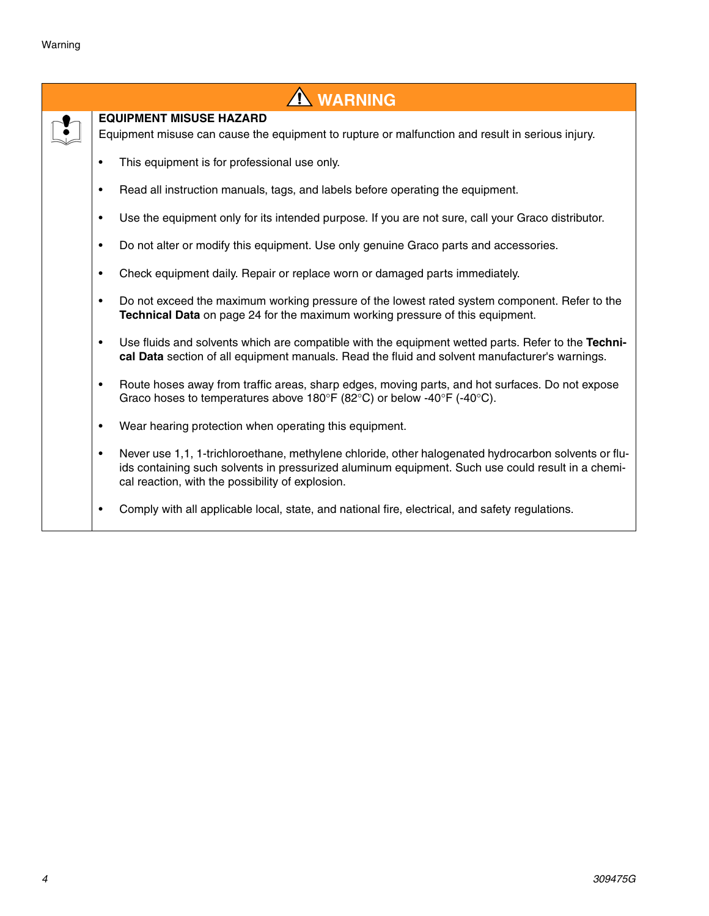<span id="page-3-0"></span>

| A WARNING                                                                                                                                                                                                                                                          |
|--------------------------------------------------------------------------------------------------------------------------------------------------------------------------------------------------------------------------------------------------------------------|
| <b>EQUIPMENT MISUSE HAZARD</b>                                                                                                                                                                                                                                     |
| Equipment misuse can cause the equipment to rupture or malfunction and result in serious injury.                                                                                                                                                                   |
| This equipment is for professional use only.                                                                                                                                                                                                                       |
| Read all instruction manuals, tags, and labels before operating the equipment.<br>$\bullet$                                                                                                                                                                        |
| Use the equipment only for its intended purpose. If you are not sure, call your Graco distributor.                                                                                                                                                                 |
| Do not alter or modify this equipment. Use only genuine Graco parts and accessories.<br>٠                                                                                                                                                                          |
| Check equipment daily. Repair or replace worn or damaged parts immediately.                                                                                                                                                                                        |
| Do not exceed the maximum working pressure of the lowest rated system component. Refer to the<br>$\bullet$<br>Technical Data on page 24 for the maximum working pressure of this equipment.                                                                        |
| Use fluids and solvents which are compatible with the equipment wetted parts. Refer to the Techni-<br>$\bullet$<br>cal Data section of all equipment manuals. Read the fluid and solvent manufacturer's warnings.                                                  |
| Route hoses away from traffic areas, sharp edges, moving parts, and hot surfaces. Do not expose<br>$\bullet$<br>Graco hoses to temperatures above 180°F (82°C) or below -40°F (-40°C).                                                                             |
| Wear hearing protection when operating this equipment.<br>$\bullet$                                                                                                                                                                                                |
| Never use 1,1, 1-trichloroethane, methylene chloride, other halogenated hydrocarbon solvents or flu-<br>٠<br>ids containing such solvents in pressurized aluminum equipment. Such use could result in a chemi-<br>cal reaction, with the possibility of explosion. |
| Comply with all applicable local, state, and national fire, electrical, and safety regulations.                                                                                                                                                                    |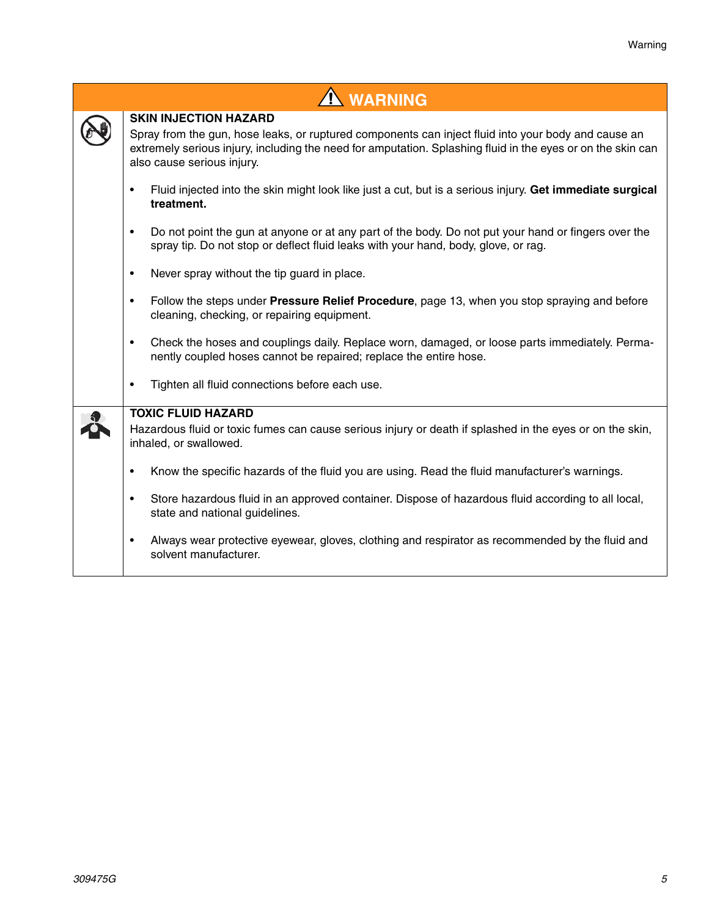| <b>A WARNING</b>                                                                                                                                                                                                                                                                 |
|----------------------------------------------------------------------------------------------------------------------------------------------------------------------------------------------------------------------------------------------------------------------------------|
| <b>SKIN INJECTION HAZARD</b><br>Spray from the gun, hose leaks, or ruptured components can inject fluid into your body and cause an<br>extremely serious injury, including the need for amputation. Splashing fluid in the eyes or on the skin can<br>also cause serious injury. |
| Fluid injected into the skin might look like just a cut, but is a serious injury. Get immediate surgical<br>$\bullet$<br>treatment.                                                                                                                                              |
| Do not point the gun at anyone or at any part of the body. Do not put your hand or fingers over the<br>$\bullet$<br>spray tip. Do not stop or deflect fluid leaks with your hand, body, glove, or rag.                                                                           |
| Never spray without the tip guard in place.<br>$\bullet$                                                                                                                                                                                                                         |
| Follow the steps under Pressure Relief Procedure, page 13, when you stop spraying and before<br>$\bullet$<br>cleaning, checking, or repairing equipment.                                                                                                                         |
| Check the hoses and couplings daily. Replace worn, damaged, or loose parts immediately. Perma-<br>$\bullet$<br>nently coupled hoses cannot be repaired; replace the entire hose.                                                                                                 |
| Tighten all fluid connections before each use.<br>$\bullet$                                                                                                                                                                                                                      |
| <b>TOXIC FLUID HAZARD</b>                                                                                                                                                                                                                                                        |
| Hazardous fluid or toxic fumes can cause serious injury or death if splashed in the eyes or on the skin,<br>inhaled, or swallowed.                                                                                                                                               |
| Know the specific hazards of the fluid you are using. Read the fluid manufacturer's warnings.<br>$\bullet$                                                                                                                                                                       |
| Store hazardous fluid in an approved container. Dispose of hazardous fluid according to all local,<br>$\bullet$<br>state and national guidelines.                                                                                                                                |
| Always wear protective eyewear, gloves, clothing and respirator as recommended by the fluid and<br>$\bullet$<br>solvent manufacturer.                                                                                                                                            |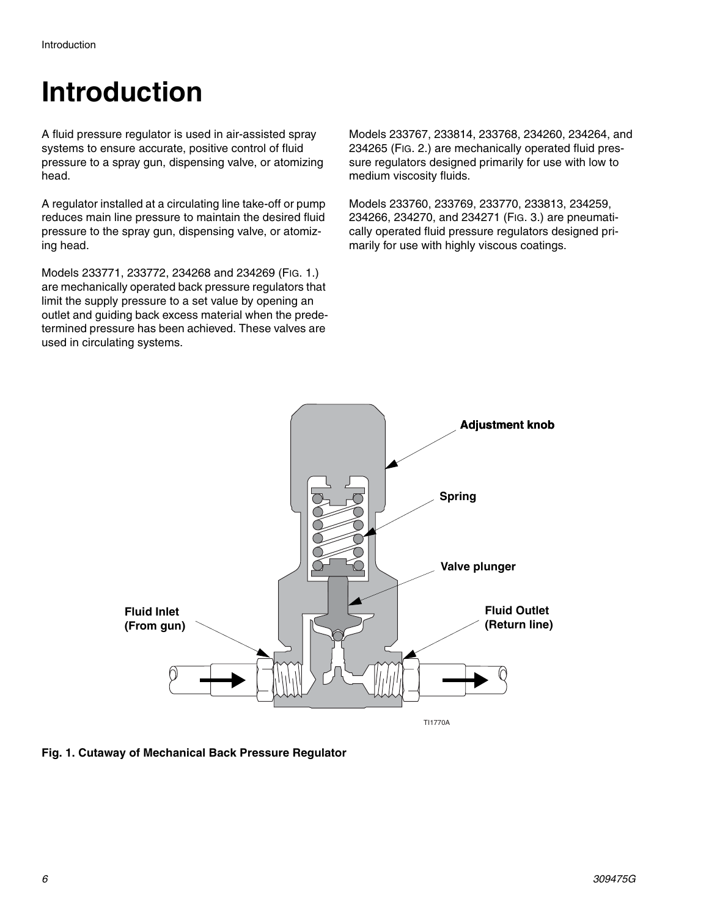## **Introduction**

A fluid pressure regulator is used in air-assisted spray systems to ensure accurate, positive control of fluid pressure to a spray gun, dispensing valve, or atomizing head.

A regulator installed at a circulating line take-off or pump reduces main line pressure to maintain the desired fluid pressure to the spray gun, dispensing valve, or atomizing head.

Models 233771, 233772, 234268 and 234269 ([FIG. 1.](#page-5-0)) are mechanically operated back pressure regulators that limit the supply pressure to a set value by opening an outlet and guiding back excess material when the predetermined pressure has been achieved. These valves are used in circulating systems.

Models 233767, 233814, 233768, 234260, 234264, and 234265 ([FIG. 2.](#page-6-0)) are mechanically operated fluid pressure regulators designed primarily for use with low to medium viscosity fluids.

Models 233760, 233769, 233770, 233813, 234259, 234266, 234270, and 234271 (FIG. 3.) are pneumatically operated fluid pressure regulators designed primarily for use with highly viscous coatings.



<span id="page-5-0"></span>**Fig. 1. Cutaway of Mechanical Back Pressure Regulator**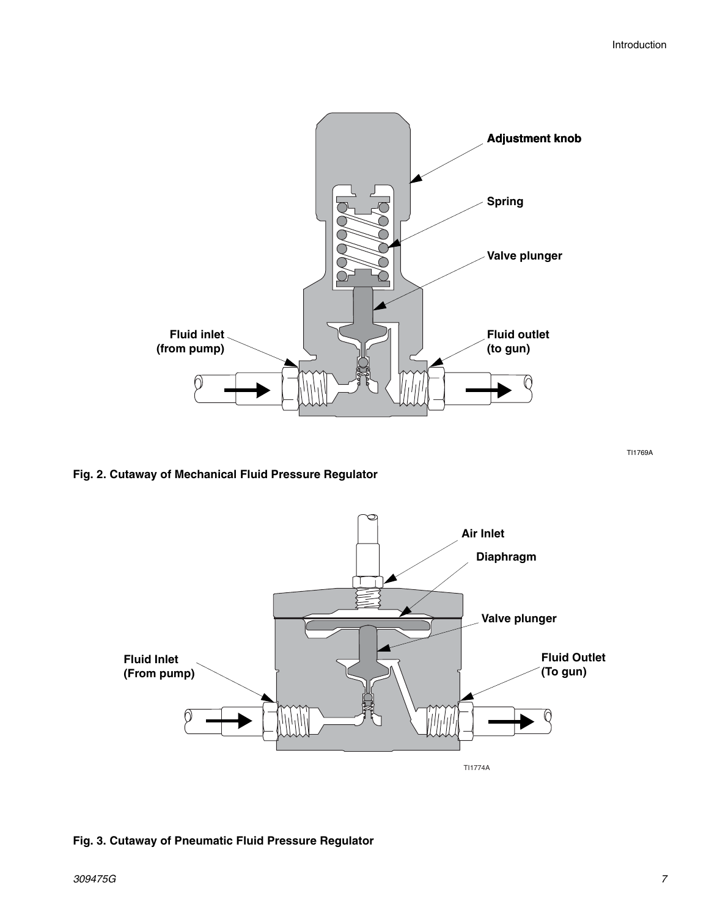

<span id="page-6-0"></span>**Fig. 2. Cutaway of Mechanical Fluid Pressure Regulator**

TI1774A **Fluid Outlet (To gun) Fluid Inlet (From pump) Diaphragm Air Inlet Valve plunger**

#### **Fig. 3. Cutaway of Pneumatic Fluid Pressure Regulator**

TI1769A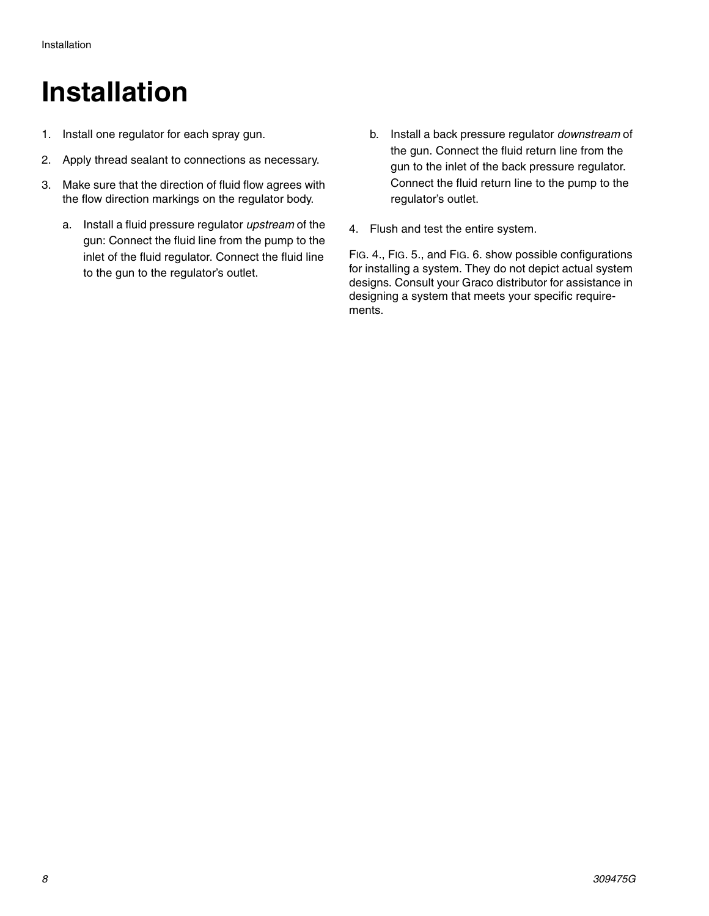### **Installation**

- 1. Install one regulator for each spray gun.
- 2. Apply thread sealant to connections as necessary.
- 3. Make sure that the direction of fluid flow agrees with the flow direction markings on the regulator body.
	- a. Install a fluid pressure regulator *upstream* of the gun: Connect the fluid line from the pump to the inlet of the fluid regulator. Connect the fluid line to the gun to the regulator's outlet.
- b. Install a back pressure regulator *downstream* of the gun. Connect the fluid return line from the gun to the inlet of the back pressure regulator. Connect the fluid return line to the pump to the regulator's outlet.
- 4. Flush and test the entire system.

[FIG. 4.,](#page-8-0) [FIG. 5.,](#page-9-0) and [FIG. 6.](#page-10-0) show possible configurations for installing a system. They do not depict actual system designs. Consult your Graco distributor for assistance in designing a system that meets your specific requirements.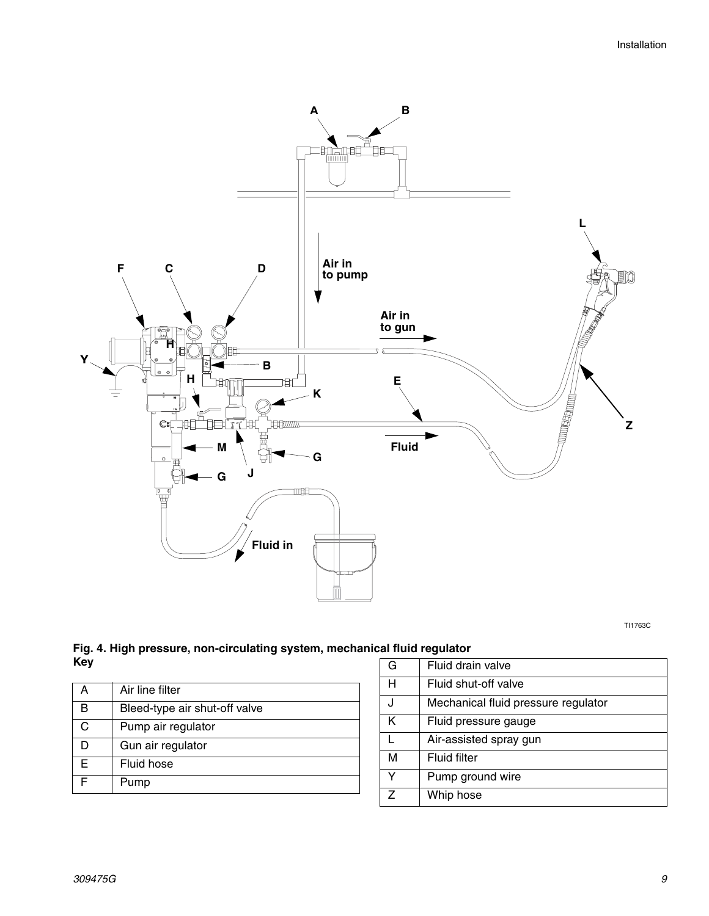

TI1763C

<span id="page-8-0"></span>**Fig. 4. High pressure, non-circulating system, mechanical fluid regulator Key**

|   | Air line filter               |
|---|-------------------------------|
| B | Bleed-type air shut-off valve |
|   | Pump air regulator            |
|   | Gun air regulator             |
| E | Fluid hose                    |
|   | Pump                          |

| G | Fluid drain valve                   |
|---|-------------------------------------|
| н | Fluid shut-off valve                |
|   | Mechanical fluid pressure regulator |
| κ | Fluid pressure gauge                |
|   | Air-assisted spray gun              |
| М | <b>Fluid filter</b>                 |
| Y | Pump ground wire                    |
| 7 | Whip hose                           |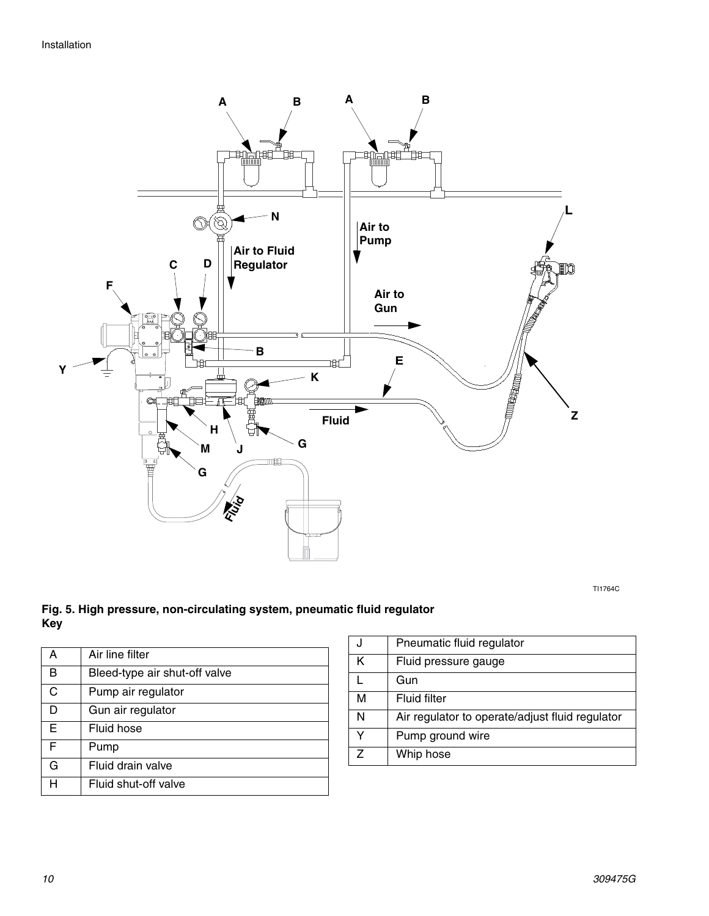

TI1764C

#### <span id="page-9-0"></span>**Fig. 5. High pressure, non-circulating system, pneumatic fluid regulator Key**

| А | Air line filter               |
|---|-------------------------------|
| в | Bleed-type air shut-off valve |
| C | Pump air regulator            |
| D | Gun air regulator             |
| E | Fluid hose                    |
| F | Pump                          |
| G | Fluid drain valve             |
|   | Fluid shut-off valve          |

|   | Pneumatic fluid regulator                       |
|---|-------------------------------------------------|
| κ | Fluid pressure gauge                            |
|   | Gun                                             |
| M | <b>Fluid filter</b>                             |
| N | Air regulator to operate/adjust fluid regulator |
|   | Pump ground wire                                |
|   | Whip hose                                       |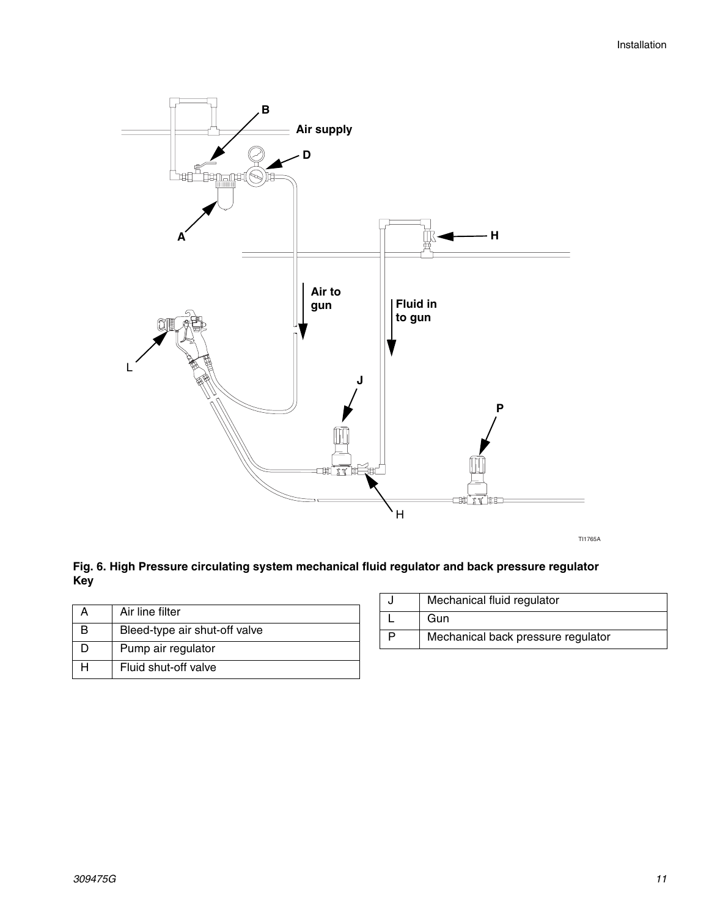

TI1765A

#### <span id="page-10-0"></span>**Fig. 6. High Pressure circulating system mechanical fluid regulator and back pressure regulator Key**

| Air line filter               |
|-------------------------------|
| Bleed-type air shut-off valve |
| Pump air regulator            |
| Fluid shut-off valve          |

| Mechanical fluid regulator         |
|------------------------------------|
| Gun                                |
| Mechanical back pressure regulator |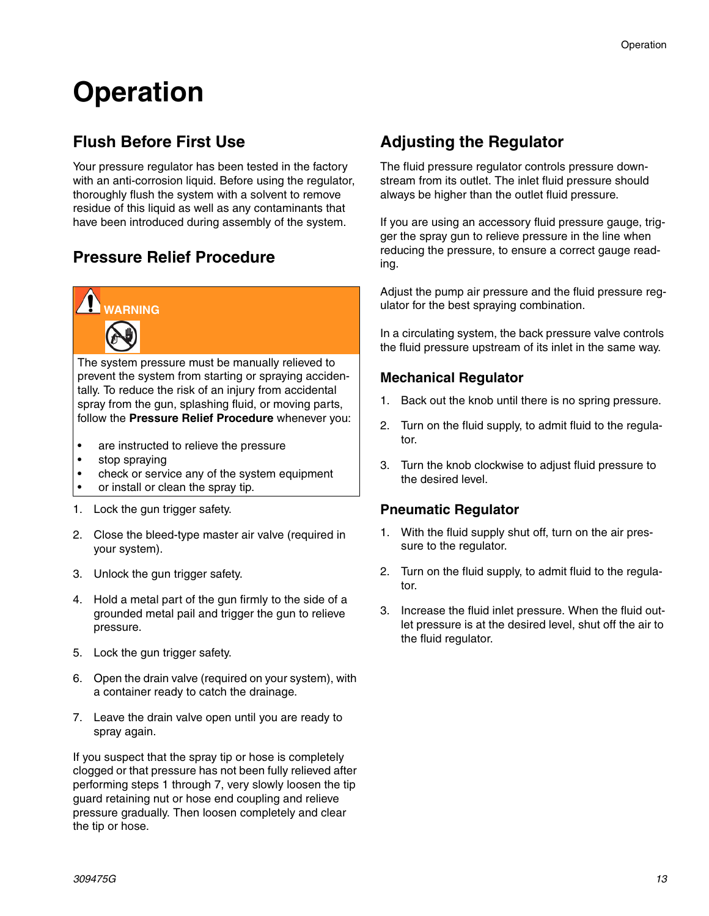## **Operation**

### **Flush Before First Use**

Your pressure regulator has been tested in the factory with an anti-corrosion liquid. Before using the regulator, thoroughly flush the system with a solvent to remove residue of this liquid as well as any contaminants that have been introduced during assembly of the system.

### <span id="page-12-0"></span>**Pressure Relief Procedure**



The system pressure must be manually relieved to prevent the system from starting or spraying accidentally. To reduce the risk of an injury from accidental spray from the gun, splashing fluid, or moving parts, follow the **Pressure Relief Procedure** whenever you:

- are instructed to relieve the pressure
- stop spraying
- check or service any of the system equipment
- or install or clean the spray tip.
- 1. Lock the gun trigger safety.
- 2. Close the bleed-type master air valve (required in your system).
- 3. Unlock the gun trigger safety.
- 4. Hold a metal part of the gun firmly to the side of a grounded metal pail and trigger the gun to relieve pressure.
- 5. Lock the gun trigger safety.
- 6. Open the drain valve (required on your system), with a container ready to catch the drainage.
- 7. Leave the drain valve open until you are ready to spray again.

If you suspect that the spray tip or hose is completely clogged or that pressure has not been fully relieved after performing steps 1 through 7, very slowly loosen the tip guard retaining nut or hose end coupling and relieve pressure gradually. Then loosen completely and clear the tip or hose.

### **Adjusting the Regulator**

The fluid pressure regulator controls pressure downstream from its outlet. The inlet fluid pressure should always be higher than the outlet fluid pressure.

If you are using an accessory fluid pressure gauge, trigger the spray gun to relieve pressure in the line when reducing the pressure, to ensure a correct gauge reading.

Adjust the pump air pressure and the fluid pressure regulator for the best spraying combination.

In a circulating system, the back pressure valve controls the fluid pressure upstream of its inlet in the same way.

#### **Mechanical Regulator**

- 1. Back out the knob until there is no spring pressure.
- 2. Turn on the fluid supply, to admit fluid to the regulator.
- 3. Turn the knob clockwise to adjust fluid pressure to the desired level.

#### **Pneumatic Regulator**

- 1. With the fluid supply shut off, turn on the air pressure to the regulator.
- 2. Turn on the fluid supply, to admit fluid to the regulator.
- 3. Increase the fluid inlet pressure. When the fluid outlet pressure is at the desired level, shut off the air to the fluid regulator.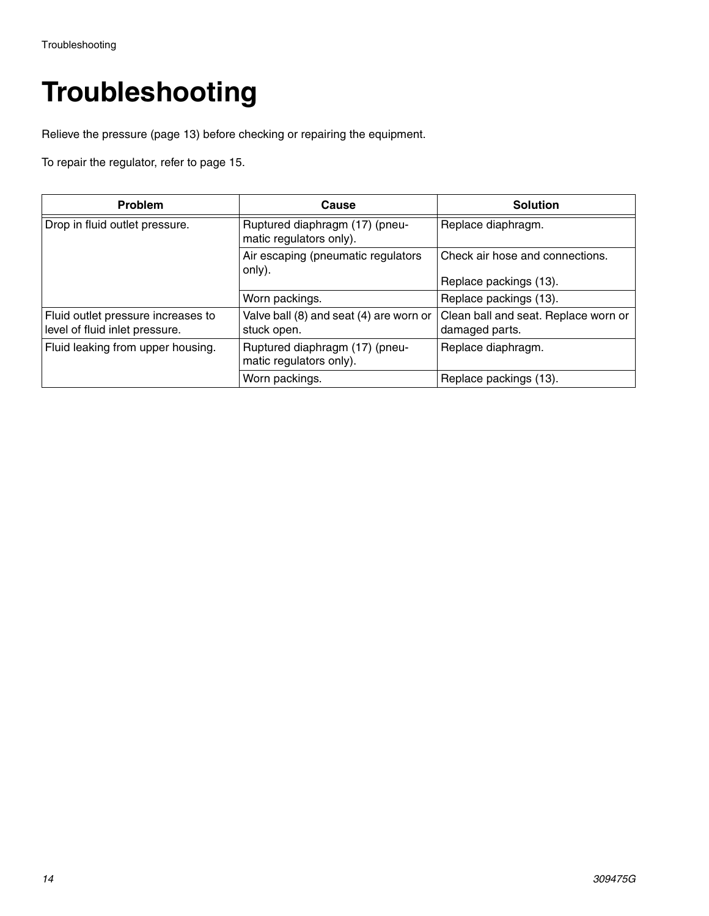## **Troubleshooting**

Relieve the pressure (page [13](#page-12-0)) before checking or repairing the equipment.

To repair the regulator, refer to page [15.](#page-14-0)

| <b>Problem</b>                                                       | Cause                                                     | <b>Solution</b>                                           |
|----------------------------------------------------------------------|-----------------------------------------------------------|-----------------------------------------------------------|
| Drop in fluid outlet pressure.                                       | Ruptured diaphragm (17) (pneu-<br>matic regulators only). | Replace diaphragm.                                        |
|                                                                      | Air escaping (pneumatic regulators<br>only).              | Check air hose and connections.<br>Replace packings (13). |
|                                                                      | Worn packings.                                            | Replace packings (13).                                    |
| Fluid outlet pressure increases to<br>level of fluid inlet pressure. | Valve ball (8) and seat (4) are worn or<br>stuck open.    | Clean ball and seat. Replace worn or<br>damaged parts.    |
| Fluid leaking from upper housing.                                    | Ruptured diaphragm (17) (pneu-<br>matic regulators only). | Replace diaphragm.                                        |
|                                                                      | Worn packings.                                            | Replace packings (13).                                    |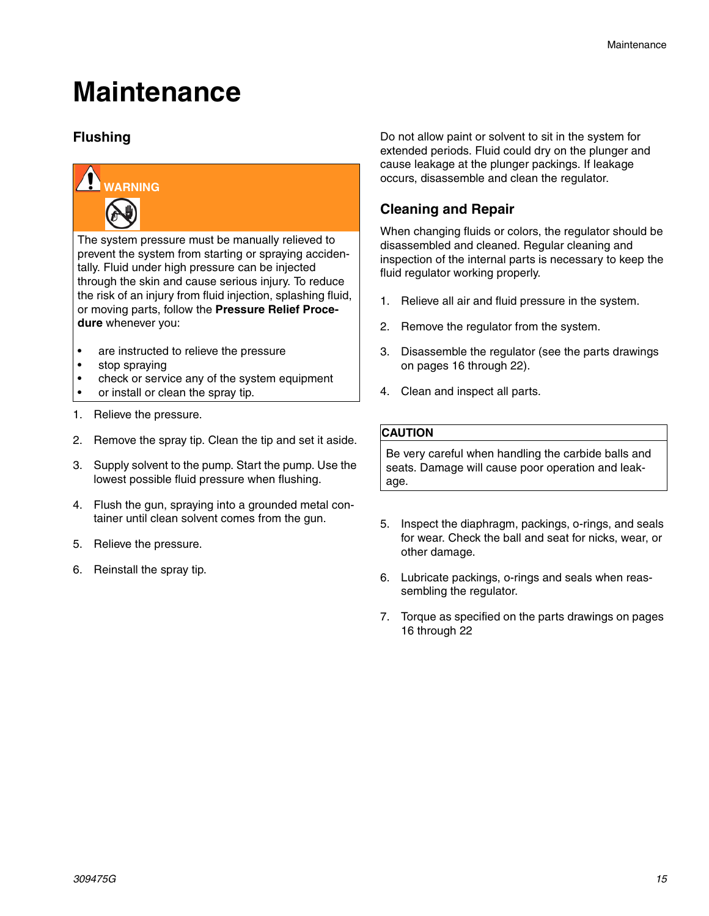### **Maintenance**

#### **Flushing**



The system pressure must be manually relieved to prevent the system from starting or spraying accidentally. Fluid under high pressure can be injected through the skin and cause serious injury. To reduce the risk of an injury from fluid injection, splashing fluid, or moving parts, follow the **Pressure Relief Procedure** whenever you:

- are instructed to relieve the pressure
- stop spraying
- check or service any of the system equipment
- or install or clean the spray tip.
- 1. Relieve the pressure.
- 2. Remove the spray tip. Clean the tip and set it aside.
- 3. Supply solvent to the pump. Start the pump. Use the lowest possible fluid pressure when flushing.
- 4. Flush the gun, spraying into a grounded metal container until clean solvent comes from the gun.
- 5. Relieve the pressure.
- 6. Reinstall the spray tip.

Do not allow paint or solvent to sit in the system for extended periods. Fluid could dry on the plunger and cause leakage at the plunger packings. If leakage occurs, disassemble and clean the regulator.

#### <span id="page-14-0"></span>**Cleaning and Repair**

When changing fluids or colors, the regulator should be disassembled and cleaned. Regular cleaning and inspection of the internal parts is necessary to keep the fluid regulator working properly.

- 1. Relieve all air and fluid pressure in the system.
- 2. Remove the regulator from the system.
- 3. Disassemble the regulator (see the parts drawings on pages [16](#page-15-0) through [22](#page-21-0)).
- 4. Clean and inspect all parts.

#### **CAUTION**

Be very careful when handling the carbide balls and seats. Damage will cause poor operation and leakage.

- 5. Inspect the diaphragm, packings, o-rings, and seals for wear. Check the ball and seat for nicks, wear, or other damage.
- 6. Lubricate packings, o-rings and seals when reassembling the regulator.
- 7. Torque as specified on the parts drawings on pages [16](#page-15-0) through [22](#page-21-0)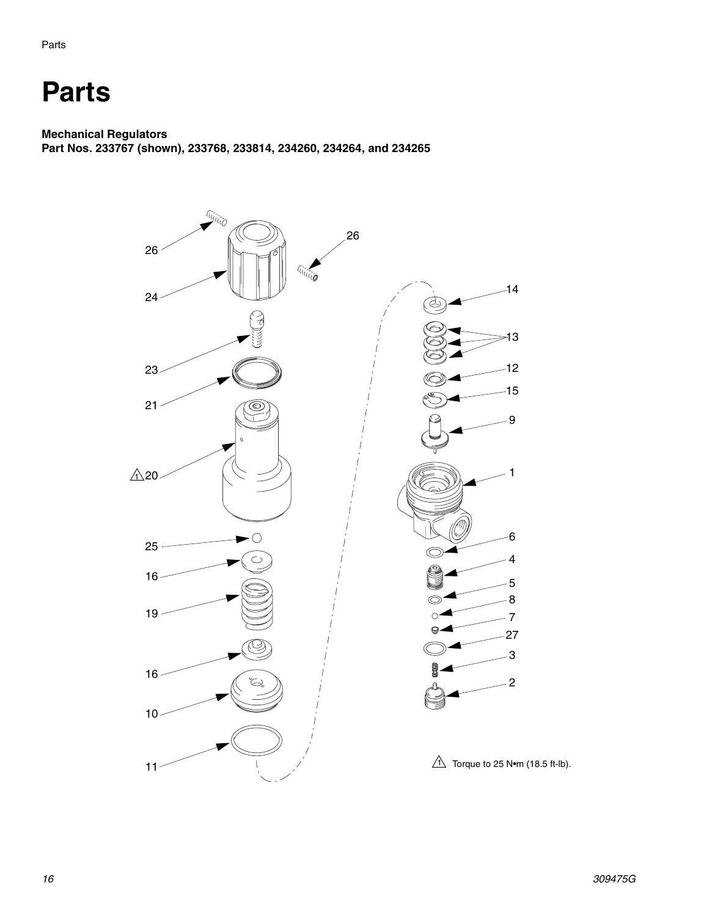### <span id="page-15-0"></span>**Parts**

#### **Mechanical Regulators**

**Part Nos. 233767 (shown), 233768, 233814, 234260, 234264, and 234265**

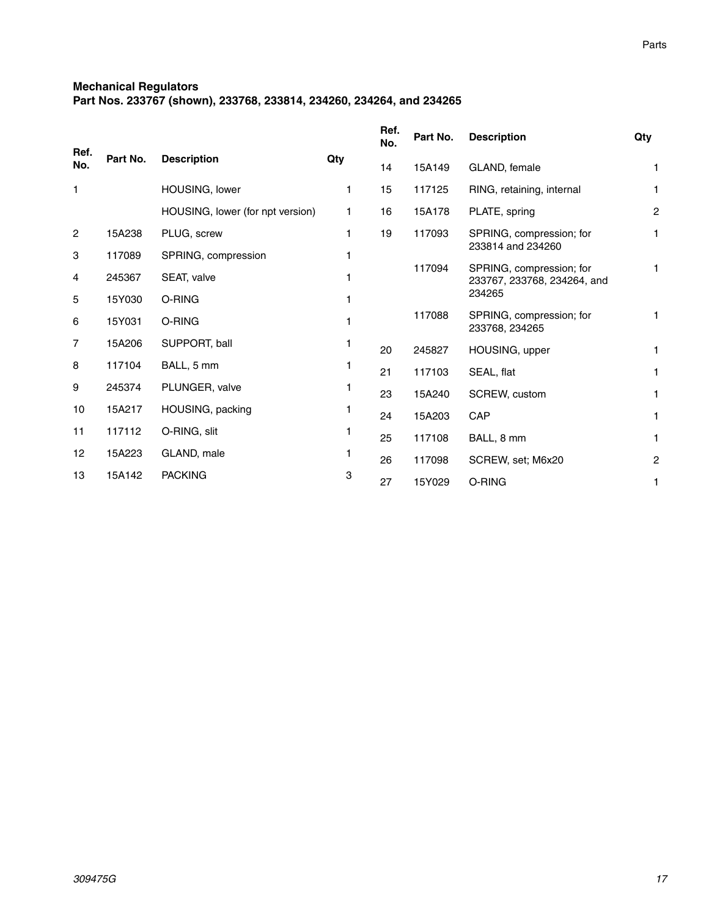#### **Mechanical Regulators**

**Part Nos. 233767 (shown), 233768, 233814, 234260, 234264, and 234265**

|                |          |                                  |     | Ref.<br>No. | Part No. | <b>Description</b>                                      | Qty            |
|----------------|----------|----------------------------------|-----|-------------|----------|---------------------------------------------------------|----------------|
| Ref.<br>No.    | Part No. | <b>Description</b>               | Qty | 14          | 15A149   | GLAND, female                                           | 1              |
| 1              |          | HOUSING, lower                   | 1   | 15          | 117125   | RING, retaining, internal                               | 1              |
|                |          | HOUSING, lower (for npt version) | 1.  | 16          | 15A178   | PLATE, spring                                           | $\overline{c}$ |
| $\overline{2}$ | 15A238   | PLUG, screw                      | 1   | 19          | 117093   | SPRING, compression; for                                | 1              |
| 3              | 117089   | SPRING, compression              | 1   |             |          | 233814 and 234260                                       |                |
| 4              | 245367   | SEAT, valve                      |     |             | 117094   | SPRING, compression; for<br>233767, 233768, 234264, and | 1              |
| 5              | 15Y030   | O-RING                           |     |             |          | 234265                                                  |                |
| 6              | 15Y031   | O-RING                           |     |             | 117088   | SPRING, compression; for<br>233768, 234265              | 1              |
| 7              | 15A206   | SUPPORT, ball                    | 1   | 20          | 245827   | HOUSING, upper                                          | 1              |
| 8              | 117104   | BALL, 5 mm                       |     | 21          | 117103   | SEAL, flat                                              | 1              |
| 9              | 245374   | PLUNGER, valve                   |     | 23          | 15A240   | SCREW, custom                                           | 1              |
| 10             | 15A217   | HOUSING, packing                 |     | 24          | 15A203   | CAP                                                     | 1              |
| 11             | 117112   | O-RING, slit                     |     | 25          | 117108   | BALL, 8 mm                                              | 1              |
| 12             | 15A223   | GLAND, male                      |     | 26          | 117098   | SCREW, set; M6x20                                       | 2              |
| 13             | 15A142   | <b>PACKING</b>                   | 3   | 27          | 15Y029   | O-RING                                                  | 1              |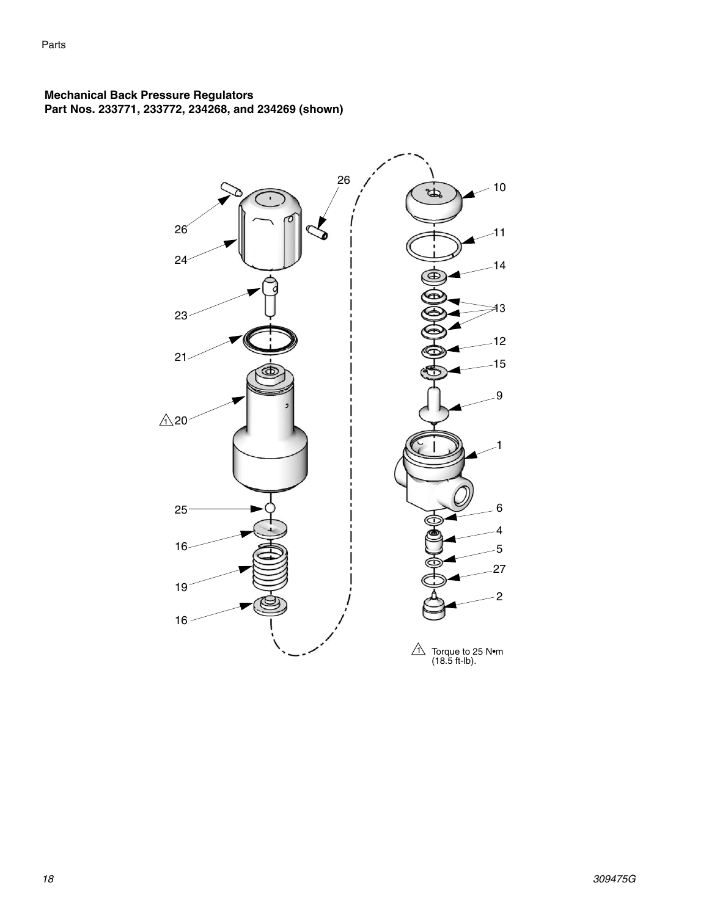#### **Mechanical Back Pressure Regulators Part Nos. 233771, 233772, 234268, and 234269 (shown)**

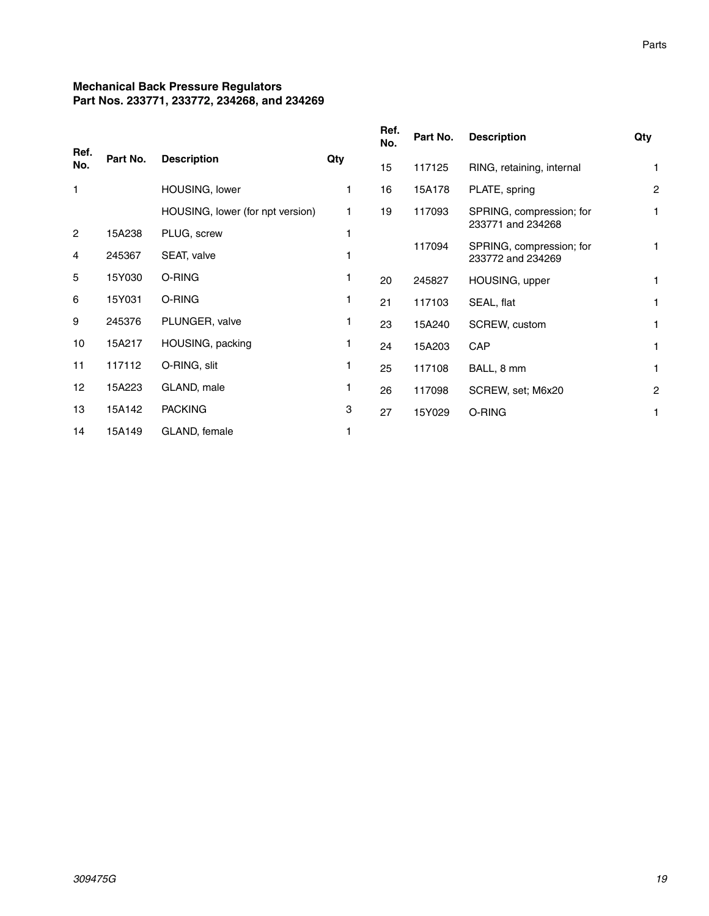#### **Mechanical Back Pressure Regulators Part Nos. 233771, 233772, 234268, and 234269**

| Ref.           |          |                                  |     | Ref.<br>No. | Part No. | <b>Description</b>                            | Qty            |
|----------------|----------|----------------------------------|-----|-------------|----------|-----------------------------------------------|----------------|
| No.            | Part No. | <b>Description</b>               | Qty | 15          | 117125   | RING, retaining, internal                     | 1              |
| $\mathbf{1}$   |          | HOUSING, lower                   | 1   | 16          | 15A178   | PLATE, spring                                 | $\overline{c}$ |
|                |          | HOUSING, lower (for npt version) | 1   | 19          | 117093   | SPRING, compression; for                      | 1              |
| $\overline{2}$ | 15A238   | PLUG, screw                      | 1   |             |          | 233771 and 234268                             |                |
| 4              | 245367   | SEAT, valve                      |     |             | 117094   | SPRING, compression; for<br>233772 and 234269 | 1              |
| 5              | 15Y030   | O-RING                           | 1   | 20          | 245827   | HOUSING, upper                                | 1              |
| 6              | 15Y031   | O-RING                           | 1   | 21          | 117103   | SEAL, flat                                    | 1              |
| 9              | 245376   | PLUNGER, valve                   | 1   | 23          | 15A240   | SCREW, custom                                 | 1              |
| 10             | 15A217   | HOUSING, packing                 | 1   | 24          | 15A203   | CAP                                           | 1              |
| 11             | 117112   | O-RING, slit                     | 1   | 25          | 117108   | BALL, 8 mm                                    | 1              |
| 12             | 15A223   | GLAND, male                      | 1   | 26          | 117098   | SCREW, set; M6x20                             | $\overline{2}$ |
| 13             | 15A142   | <b>PACKING</b>                   | 3   | 27          | 15Y029   | O-RING                                        | 1              |
| 14             | 15A149   | GLAND, female                    | 1   |             |          |                                               |                |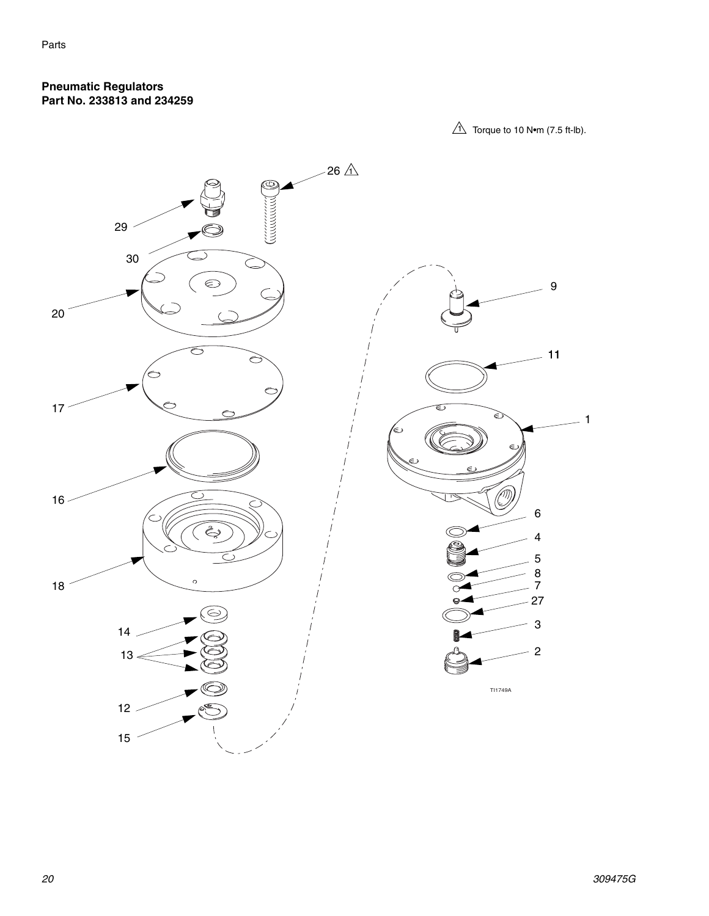#### **Pneumatic Regulators Part No. 233813 and 234259**

 $\hat{1}$  Torque to 10 N•m (7.5 ft-lb).

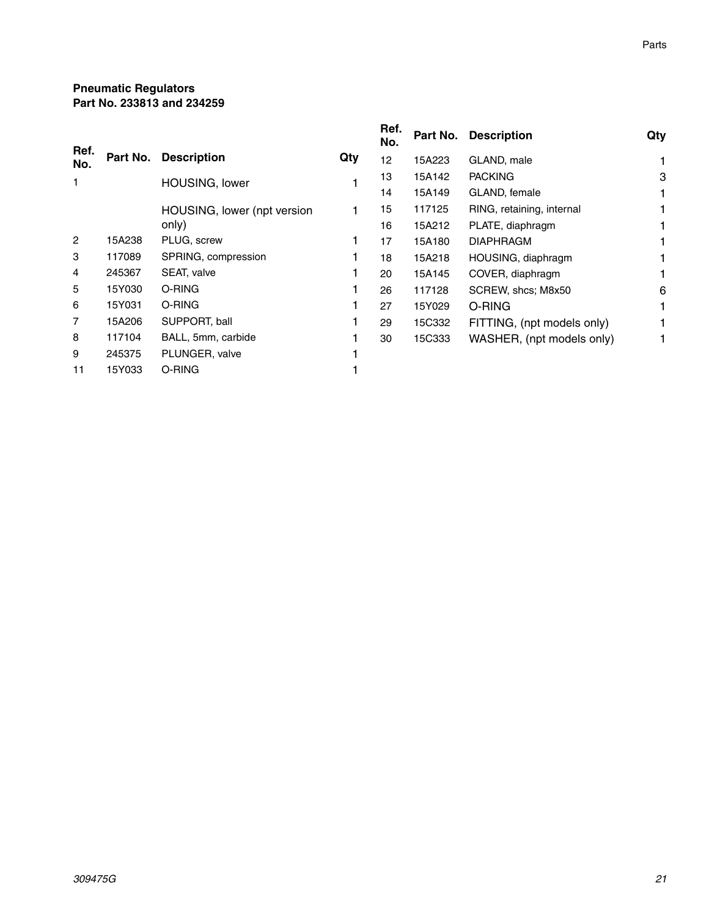#### **Pneumatic Regulators Part No. 233813 and 234259**

| Ref.           |          |                             |     | Ref.<br>No. |        | Part No. Description       | Qty |
|----------------|----------|-----------------------------|-----|-------------|--------|----------------------------|-----|
| No.            | Part No. | <b>Description</b>          | Qty | 12          | 15A223 | GLAND, male                |     |
| 1              |          | HOUSING, lower              |     | 13          | 15A142 | <b>PACKING</b>             | 3   |
|                |          |                             |     | 14          | 15A149 | GLAND, female              |     |
|                |          | HOUSING, lower (npt version |     | 15          | 117125 | RING, retaining, internal  |     |
|                |          | only)                       |     | 16          | 15A212 | PLATE, diaphragm           |     |
| $\overline{c}$ | 15A238   | PLUG, screw                 |     | 17          | 15A180 | <b>DIAPHRAGM</b>           |     |
| 3              | 117089   | SPRING, compression         |     | 18          | 15A218 | HOUSING, diaphragm         |     |
| 4              | 245367   | SEAT, valve                 |     | 20          | 15A145 | COVER, diaphragm           |     |
| 5              | 15Y030   | O-RING                      |     | 26          | 117128 | SCREW, shcs; M8x50         | 6   |
| 6              | 15Y031   | O-RING                      |     | 27          | 15Y029 | O-RING                     |     |
| $\overline{7}$ | 15A206   | SUPPORT, ball               |     | 29          | 15C332 | FITTING, (npt models only) |     |
| 8              | 117104   | BALL, 5mm, carbide          |     | 30          | 15C333 | WASHER, (npt models only)  |     |
| 9              | 245375   | PLUNGER, valve              |     |             |        |                            |     |
| 11             | 15Y033   | O-RING                      |     |             |        |                            |     |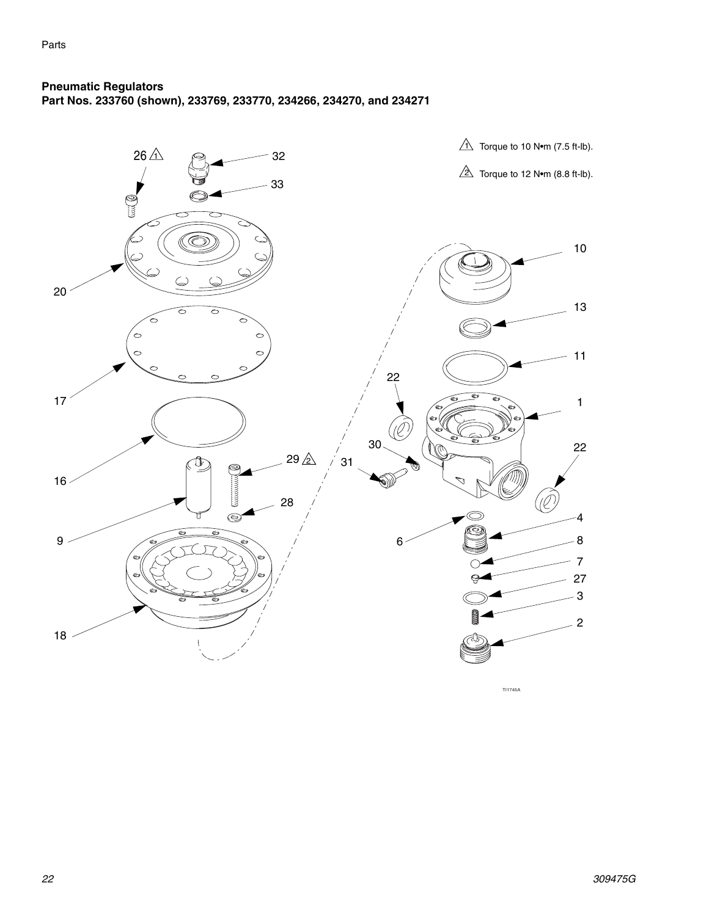#### <span id="page-21-0"></span>**Pneumatic Regulators Part Nos. 233760 (shown), 233769, 233770, 234266, 234270, and 234271**



TI1745A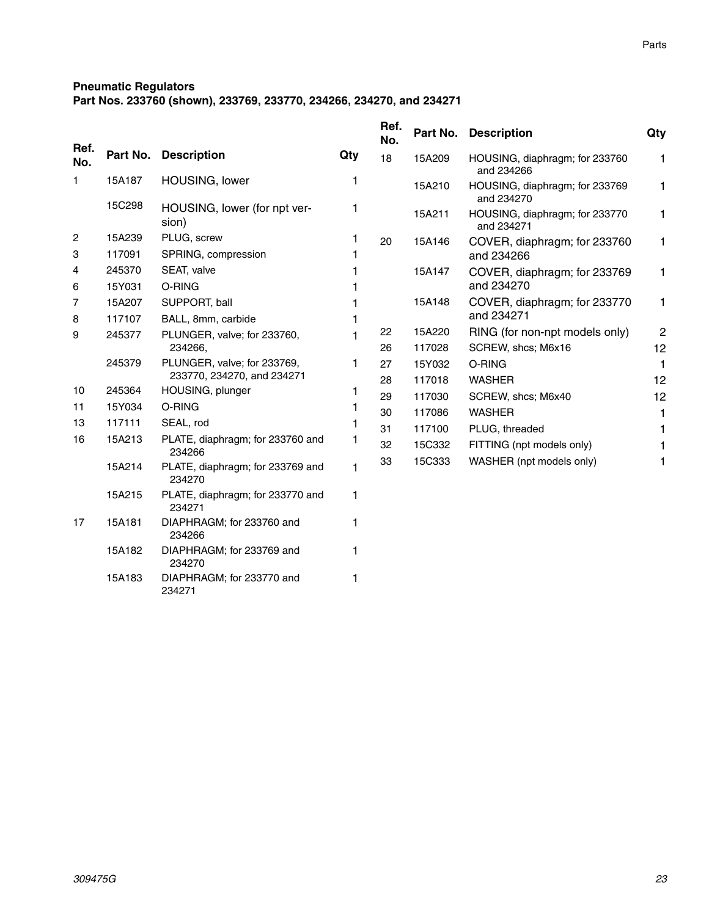Parts

#### **Pneumatic Regulators**

234271

**Part Nos. 233760 (shown), 233769, 233770, 234266, 234270, and 234271**

|             |          |                                            |              | Ref.<br>No. | Part No. | <b>Description</b>                           | Qty          |
|-------------|----------|--------------------------------------------|--------------|-------------|----------|----------------------------------------------|--------------|
| Ref.<br>No. | Part No. | <b>Description</b>                         | Qty          | 18          | 15A209   | HOUSING, diaphragm; for 233760<br>and 234266 | 1            |
| 1           | 15A187   | HOUSING, lower                             | 1            |             | 15A210   | HOUSING, diaphragm; for 233769<br>and 234270 | 1            |
|             | 15C298   | HOUSING, lower (for npt ver-<br>sion)      | 1            |             | 15A211   | HOUSING, diaphragm; for 233770<br>and 234271 | 1            |
| 2           | 15A239   | PLUG, screw                                | 1            | 20          | 15A146   | COVER, diaphragm; for 233760                 | 1            |
| 3           | 117091   | SPRING, compression                        | 1            |             |          | and 234266                                   |              |
| 4           | 245370   | SEAT, valve                                |              |             | 15A147   | COVER, diaphragm; for 233769                 | 1            |
| 6           | 15Y031   | O-RING                                     |              |             |          | and 234270                                   |              |
| 7           | 15A207   | SUPPORT, ball                              |              |             | 15A148   | COVER, diaphragm; for 233770                 | 1            |
| 8           | 117107   | BALL, 8mm, carbide                         | 1            |             |          | and 234271                                   |              |
| 9           | 245377   | PLUNGER, valve; for 233760,                | 1            | 22          | 15A220   | RING (for non-npt models only)               | $\mathbf{2}$ |
|             |          | 234266,                                    |              | 26          | 117028   | SCREW, shcs; M6x16                           | 12           |
|             | 245379   | PLUNGER, valve; for 233769,                | 1            | 27          | 15Y032   | O-RING                                       | 1            |
|             |          | 233770, 234270, and 234271                 |              | 28          | 117018   | <b>WASHER</b>                                | 12           |
| 10          | 245364   | HOUSING, plunger                           | 1            | 29          | 117030   | SCREW, shcs; M6x40                           | 12           |
| 11          | 15Y034   | O-RING                                     | 1            | 30          | 117086   | <b>WASHER</b>                                | 1            |
| 13          | 117111   | SEAL, rod                                  | 1            | 31          | 117100   | PLUG, threaded                               | 1            |
| 16          | 15A213   | PLATE, diaphragm; for 233760 and<br>234266 | 1            | 32          | 15C332   | FITTING (npt models only)                    |              |
|             | 15A214   | PLATE, diaphragm; for 233769 and<br>234270 | $\mathbf{1}$ | 33          | 15C333   | WASHER (npt models only)                     | 1            |
|             | 15A215   | PLATE, diaphragm; for 233770 and<br>234271 | 1            |             |          |                                              |              |
| 17          | 15A181   | DIAPHRAGM; for 233760 and<br>234266        | 1            |             |          |                                              |              |
|             | 15A182   | DIAPHRAGM; for 233769 and<br>234270        | 1            |             |          |                                              |              |
|             | 15A183   | DIAPHRAGM; for 233770 and                  | 1            |             |          |                                              |              |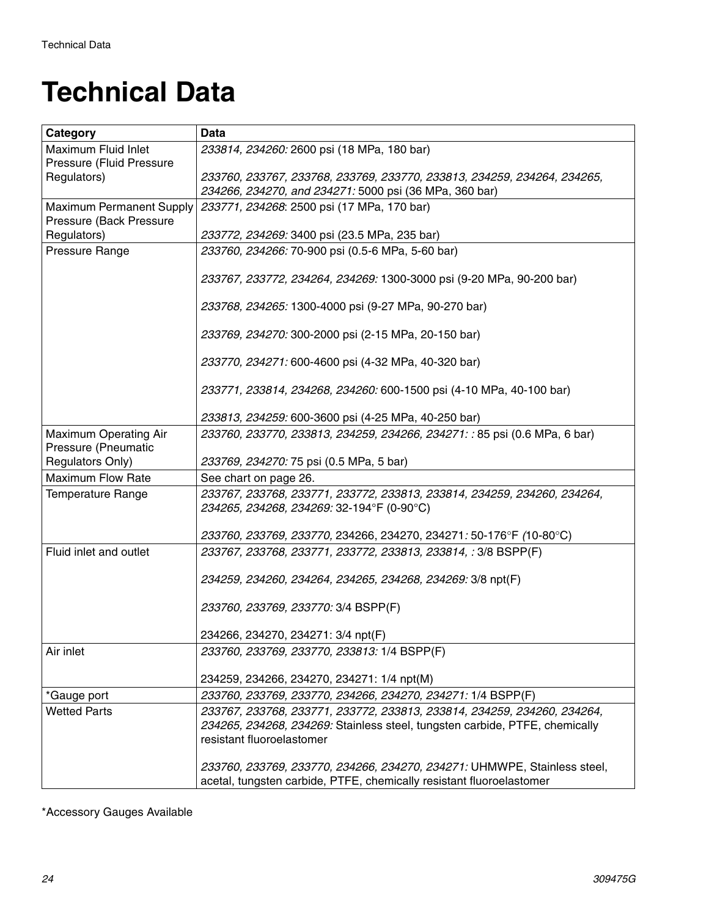### <span id="page-23-0"></span>**Technical Data**

| <b>Data</b>                                                                 |
|-----------------------------------------------------------------------------|
| 233814, 234260: 2600 psi (18 MPa, 180 bar)                                  |
|                                                                             |
| 233760, 233767, 233768, 233769, 233770, 233813, 234259, 234264, 234265,     |
| 234266, 234270, and 234271: 5000 psi (36 MPa, 360 bar)                      |
| 233771, 234268: 2500 psi (17 MPa, 170 bar)                                  |
| 233772, 234269: 3400 psi (23.5 MPa, 235 bar)                                |
| 233760, 234266: 70-900 psi (0.5-6 MPa, 5-60 bar)                            |
|                                                                             |
| 233767, 233772, 234264, 234269: 1300-3000 psi (9-20 MPa, 90-200 bar)        |
| 233768, 234265: 1300-4000 psi (9-27 MPa, 90-270 bar)                        |
| 233769, 234270: 300-2000 psi (2-15 MPa, 20-150 bar)                         |
| 233770, 234271: 600-4600 psi (4-32 MPa, 40-320 bar)                         |
| 233771, 233814, 234268, 234260: 600-1500 psi (4-10 MPa, 40-100 bar)         |
| 233813, 234259: 600-3600 psi (4-25 MPa, 40-250 bar)                         |
| 233760, 233770, 233813, 234259, 234266, 234271: : 85 psi (0.6 MPa, 6 bar)   |
| 233769, 234270: 75 psi (0.5 MPa, 5 bar)                                     |
| See chart on page 26.                                                       |
| 233767, 233768, 233771, 233772, 233813, 233814, 234259, 234260, 234264,     |
| 234265, 234268, 234269: 32-194°F (0-90°C)                                   |
| 233760, 233769, 233770, 234266, 234270, 234271: 50-176°F (10-80°C)          |
| 233767, 233768, 233771, 233772, 233813, 233814, : 3/8 BSPP(F)               |
| 234259, 234260, 234264, 234265, 234268, 234269: 3/8 npt(F)                  |
| 233760, 233769, 233770: 3/4 BSPP(F)                                         |
| 234266, 234270, 234271: 3/4 npt(F)                                          |
| 233760, 233769, 233770, 233813: 1/4 BSPP(F)                                 |
| 234259, 234266, 234270, 234271: 1/4 npt(M)                                  |
| 233760, 233769, 233770, 234266, 234270, 234271: 1/4 BSPP(F)                 |
| 233767, 233768, 233771, 233772, 233813, 233814, 234259, 234260, 234264,     |
| 234265, 234268, 234269: Stainless steel, tungsten carbide, PTFE, chemically |
| resistant fluoroelastomer                                                   |
| 233760, 233769, 233770, 234266, 234270, 234271: UHMWPE, Stainless steel,    |
| acetal, tungsten carbide, PTFE, chemically resistant fluoroelastomer        |
|                                                                             |

\*Accessory Gauges Available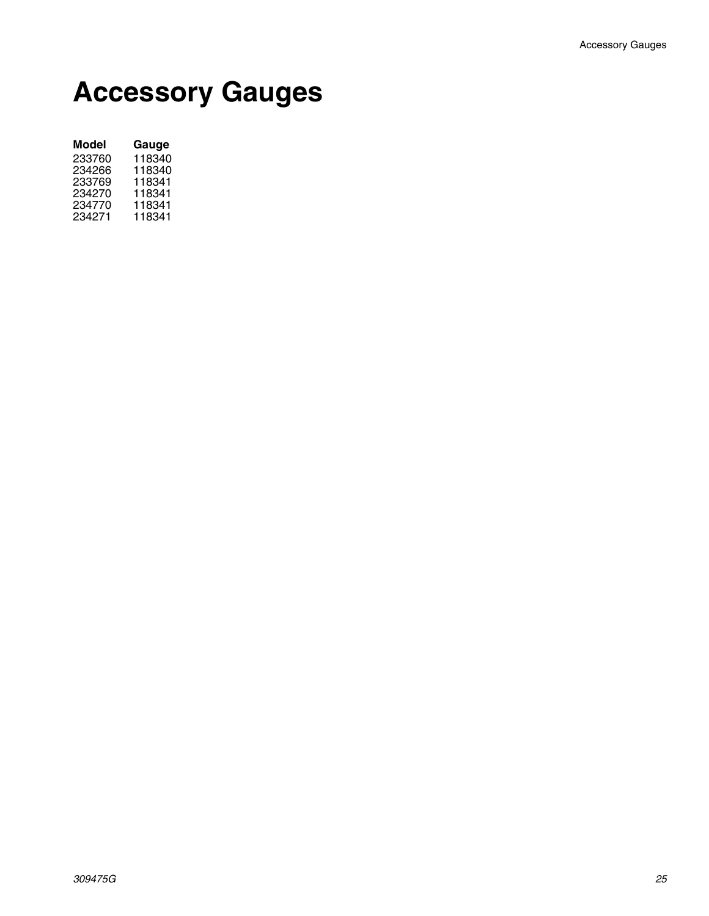### **Accessory Gauges**

| Model  | Gauge  |
|--------|--------|
| 233760 | 118340 |
| 234266 | 118340 |
| 233769 | 118341 |
| 234270 | 118341 |
| 234770 | 118341 |
| 234271 | 118341 |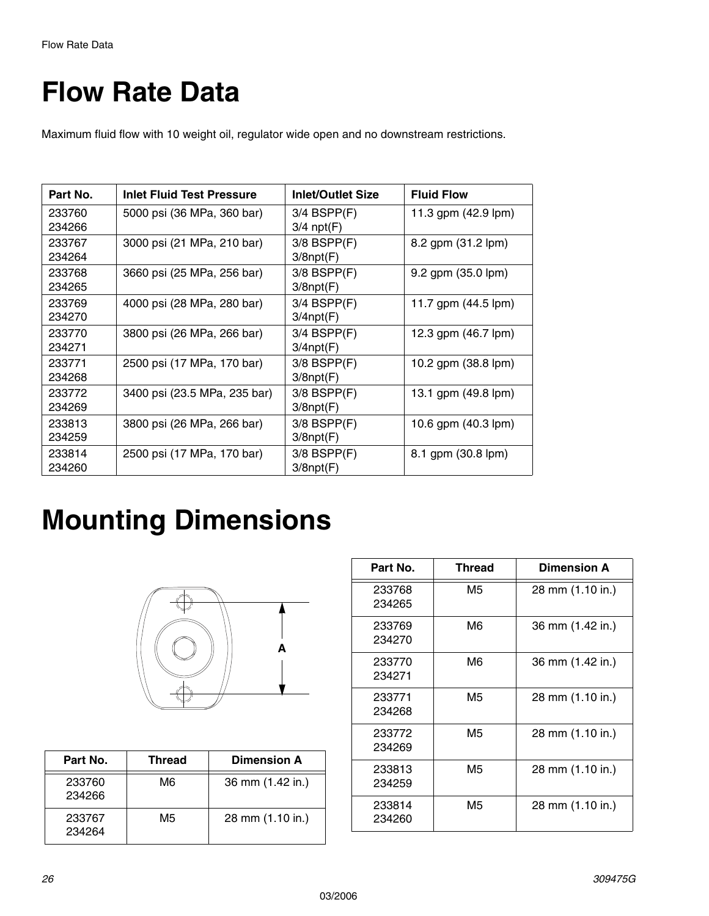## <span id="page-25-0"></span>**Flow Rate Data**

Maximum fluid flow with 10 weight oil, regulator wide open and no downstream restrictions.

| Part No.         | <b>Inlet Fluid Test Pressure</b> | <b>Inlet/Outlet Size</b>            | <b>Fluid Flow</b>             |
|------------------|----------------------------------|-------------------------------------|-------------------------------|
| 233760<br>234266 | 5000 psi (36 MPa, 360 bar)       | $3/4$ BSPP $(F)$<br>$3/4$ npt(F)    | 11.3 gpm (42.9 lpm)           |
| 233767<br>234264 | 3000 psi (21 MPa, 210 bar)       | $3/8$ BSPP $(F)$<br>$3/8$ npt $(F)$ | 8.2 gpm (31.2 lpm)            |
| 233768<br>234265 | 3660 psi (25 MPa, 256 bar)       | $3/8$ BSPP $(F)$<br>$3/8$ npt $(F)$ | 9.2 gpm (35.0 lpm)            |
| 233769<br>234270 | 4000 psi (28 MPa, 280 bar)       | $3/4$ BSPP $(F)$<br>$3/4$ npt $(F)$ | 11.7 gpm $(44.5 \text{ lpm})$ |
| 233770<br>234271 | 3800 psi (26 MPa, 266 bar)       | $3/4$ BSPP $(F)$<br>$3/4$ npt $(F)$ | 12.3 gpm (46.7 lpm)           |
| 233771<br>234268 | 2500 psi (17 MPa, 170 bar)       | $3/8$ BSPP $(F)$<br>$3/8$ npt $(F)$ | 10.2 gpm (38.8 lpm)           |
| 233772<br>234269 | 3400 psi (23.5 MPa, 235 bar)     | $3/8$ BSPP $(F)$<br>$3/8$ npt $(F)$ | 13.1 gpm (49.8 lpm)           |
| 233813<br>234259 | 3800 psi (26 MPa, 266 bar)       | $3/8$ BSPP $(F)$<br>$3/8$ npt $(F)$ | 10.6 gpm (40.3 lpm)           |
| 233814<br>234260 | 2500 psi (17 MPa, 170 bar)       | $3/8$ BSPP $(F)$<br>$3/8$ npt $(F)$ | 8.1 gpm (30.8 lpm)            |

### **Mounting Dimensions**



| Part No.         | Thread | <b>Dimension A</b> |
|------------------|--------|--------------------|
| 233760<br>234266 | M6     | 36 mm (1.42 in.)   |
| 233767<br>234264 | M5     | 28 mm (1.10 in.)   |

| Part No.         | <b>Thread</b> | <b>Dimension A</b> |
|------------------|---------------|--------------------|
| 233768<br>234265 | M5            | 28 mm (1.10 in.)   |
| 233769<br>234270 | M6            | 36 mm (1.42 in.)   |
| 233770<br>234271 | M6            | 36 mm (1.42 in.)   |
| 233771<br>234268 | M5            | 28 mm (1.10 in.)   |
| 233772<br>234269 | M5            | 28 mm (1.10 in.)   |
| 233813<br>234259 | M5            | 28 mm (1.10 in.)   |
| 233814<br>234260 | M5            | 28 mm (1.10 in.)   |